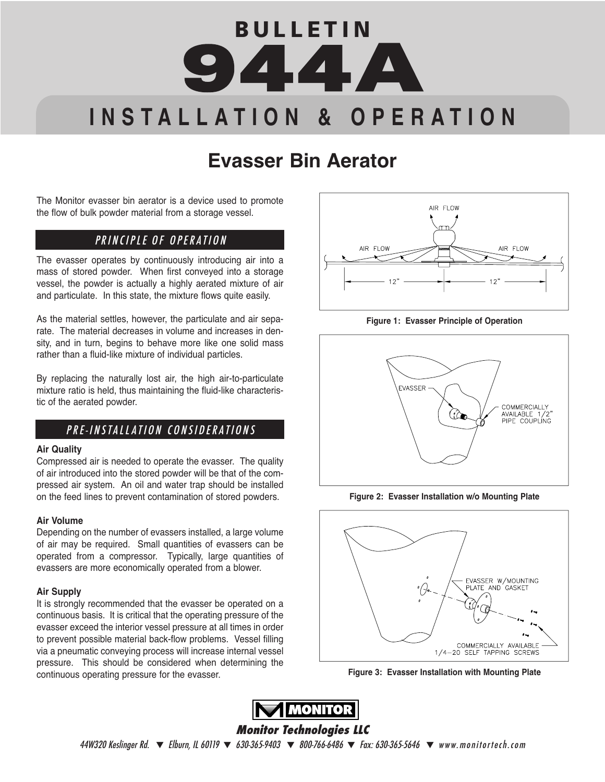# **B U L L E T I N 944A I N S T A L L A T I O N & O P E R A T I O N**

# **Evasser Bin Aerator**

The Monitor evasser bin aerator is a device used to promote the flow of bulk powder material from a storage vessel.

# PRINCIPLE OF OPERATION

The evasser operates by continuously introducing air into a mass of stored powder. When first conveyed into a storage vessel, the powder is actually a highly aerated mixture of air and particulate. In this state, the mixture flows quite easily.

As the material settles, however, the particulate and air separate. The material decreases in volume and increases in density, and in turn, begins to behave more like one solid mass rather than a fluid-like mixture of individual particles.

By replacing the naturally lost air, the high air-to-particulate mixture ratio is held, thus maintaining the fluid-like characteristic of the aerated powder.

# PRE-INSTALLATION CONSIDERATIONS

#### **Air Quality**

Compressed air is needed to operate the evasser. The quality of air introduced into the stored powder will be that of the compressed air system. An oil and water trap should be installed on the feed lines to prevent contamination of stored powders.

#### **Air Volume**

Depending on the number of evassers installed, a large volume of air may be required. Small quantities of evassers can be operated from a compressor. Typically, large quantities of evassers are more economically operated from a blower.

#### **Air Supply**

It is strongly recommended that the evasser be operated on a continuous basis. It is critical that the operating pressure of the evasser exceed the interior vessel pressure at all times in order to prevent possible material back-flow problems. Vessel filling via a pneumatic conveying process will increase internal vessel pressure. This should be considered when determining the continuous operating pressure for the evasser.



**Figure 1: Evasser Principle of Operation**



**Figure 2: Evasser Installation w/o Mounting Plate**







#### **Monitor Technologies LLC**

 $44W320$  Keslinger Rd.  $\blacktriangledown$  Elburn, IL 60119  $\blacktriangledown$  630-365-9403  $\blacktriangledown$  800-766-6486  $\blacktriangledown$  Fax: 630-365-5646  $\blacktriangledown$  www.monitortech.com